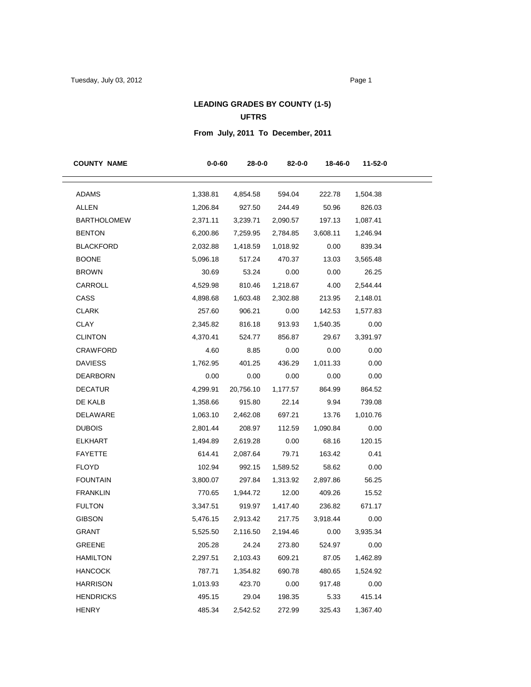# **LEADING GRADES BY COUNTY (1-5)**

#### **UFTRS**

# **From July, 2011 To December, 2011**

| <b>COUNTY NAME</b> | $0 - 0 - 60$ | 28-0-0       | 82-0-0   | 18-46-0  | 11-52-0  |
|--------------------|--------------|--------------|----------|----------|----------|
| <b>ADAMS</b>       | 1,338.81     | 4,854.58     | 594.04   | 222.78   | 1,504.38 |
| <b>ALLEN</b>       | 1,206.84     | 927.50       | 244.49   | 50.96    | 826.03   |
| <b>BARTHOLOMEW</b> | 2,371.11     | 3,239.71     | 2,090.57 | 197.13   | 1,087.41 |
| <b>BENTON</b>      | 6,200.86     | 7,259.95     | 2,784.85 | 3,608.11 | 1,246.94 |
| BLACKFORD          | 2,032.88     | 1,418.59     | 1,018.92 | 0.00     | 839.34   |
| <b>BOONE</b>       | 5,096.18     | 517.24       | 470.37   | 13.03    | 3,565.48 |
| <b>BROWN</b>       | 30.69        | 53.24        | 0.00     | 0.00     | 26.25    |
| CARROLL            | 4,529.98     | 810.46       | 1,218.67 | 4.00     | 2,544.44 |
| CASS               | 4,898.68     | 1,603.48     | 2,302.88 | 213.95   | 2,148.01 |
| <b>CLARK</b>       | 257.60       | 906.21       | 0.00     | 142.53   | 1,577.83 |
| <b>CLAY</b>        | 2,345.82     | 816.18       | 913.93   | 1,540.35 | 0.00     |
| <b>CLINTON</b>     | 4,370.41     | 524.77       | 856.87   | 29.67    | 3,391.97 |
| CRAWFORD           | 4.60         | 8.85         | 0.00     | 0.00     | 0.00     |
| <b>DAVIESS</b>     | 1,762.95     | 401.25       | 436.29   | 1,011.33 | 0.00     |
| DEARBORN           | 0.00         | 0.00         | 0.00     | 0.00     | 0.00     |
| <b>DECATUR</b>     | 4,299.91     | 20,756.10    | 1,177.57 | 864.99   | 864.52   |
| DE KALB            | 1,358.66     | 915.80       | 22.14    | 9.94     | 739.08   |
| DELAWARE           | 1,063.10     | 2,462.08     | 697.21   | 13.76    | 1,010.76 |
| <b>DUBOIS</b>      | 2,801.44     | 208.97       | 112.59   | 1,090.84 | 0.00     |
| <b>ELKHART</b>     | 1,494.89     | 2,619.28     | 0.00     | 68.16    | 120.15   |
| <b>FAYETTE</b>     | 614.41       | 2,087.64     | 79.71    | 163.42   | 0.41     |
| <b>FLOYD</b>       | 102.94       | 992.15       | 1,589.52 | 58.62    | 0.00     |
| <b>FOUNTAIN</b>    | 3,800.07     | 297.84       | 1,313.92 | 2,897.86 | 56.25    |
| <b>FRANKLIN</b>    | 770.65       | 1,944.72     | 12.00    | 409.26   | 15.52    |
| <b>FULTON</b>      | 3,347.51     | 919.97       | 1,417.40 | 236.82   | 671.17   |
| <b>GIBSON</b>      | 5,476.15     | 2,913.42     | 217.75   | 3,918.44 | 0.00     |
| <b>GRANT</b>       | 5,525.50     | 2,116.50     | 2,194.46 | 0.00     | 3,935.34 |
| <b>GREENE</b>      |              | 205.28 24.24 | 273.80   | 524.97   | 0.00     |
| <b>HAMILTON</b>    | 2,297.51     | 2,103.43     | 609.21   | 87.05    | 1,462.89 |
| <b>HANCOCK</b>     | 787.71       | 1,354.82     | 690.78   | 480.65   | 1,524.92 |
| <b>HARRISON</b>    | 1,013.93     | 423.70       | 0.00     | 917.48   | 0.00     |
| <b>HENDRICKS</b>   | 495.15       | 29.04        | 198.35   | 5.33     | 415.14   |
| <b>HENRY</b>       | 485.34       | 2,542.52     | 272.99   | 325.43   | 1,367.40 |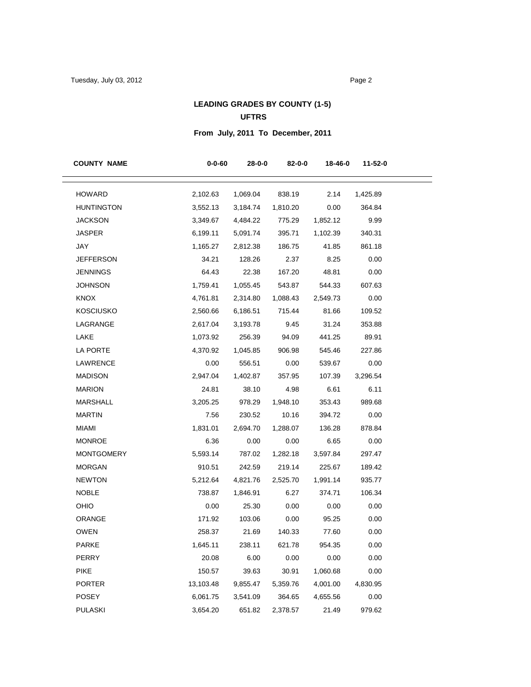# **LEADING GRADES BY COUNTY (1-5)**

### **UFTRS**

# **From July, 2011 To December, 2011**

| <b>COUNTY NAME</b> | $0 - 0 - 60$ | 28-0-0   | 82-0-0   | 18-46-0  | 11-52-0  |
|--------------------|--------------|----------|----------|----------|----------|
| <b>HOWARD</b>      | 2,102.63     | 1,069.04 | 838.19   | 2.14     | 1,425.89 |
| <b>HUNTINGTON</b>  | 3,552.13     | 3,184.74 | 1,810.20 | 0.00     | 364.84   |
| JACKSON            | 3,349.67     | 4,484.22 | 775.29   | 1,852.12 | 9.99     |
| <b>JASPER</b>      | 6,199.11     | 5,091.74 | 395.71   | 1,102.39 | 340.31   |
| JAY                | 1,165.27     | 2,812.38 | 186.75   | 41.85    | 861.18   |
| <b>JEFFERSON</b>   | 34.21        | 128.26   | 2.37     | 8.25     | 0.00     |
| JENNINGS           | 64.43        | 22.38    | 167.20   | 48.81    | 0.00     |
| <b>JOHNSON</b>     | 1,759.41     | 1,055.45 | 543.87   | 544.33   | 607.63   |
| KNOX               | 4,761.81     | 2,314.80 | 1,088.43 | 2,549.73 | 0.00     |
| <b>KOSCIUSKO</b>   | 2,560.66     | 6,186.51 | 715.44   | 81.66    | 109.52   |
| LAGRANGE           | 2,617.04     | 3,193.78 | 9.45     | 31.24    | 353.88   |
| LAKE               | 1,073.92     | 256.39   | 94.09    | 441.25   | 89.91    |
| LA PORTE           | 4,370.92     | 1,045.85 | 906.98   | 545.46   | 227.86   |
| LAWRENCE           | 0.00         | 556.51   | 0.00     | 539.67   | 0.00     |
| <b>MADISON</b>     | 2,947.04     | 1,402.87 | 357.95   | 107.39   | 3,296.54 |
| <b>MARION</b>      | 24.81        | 38.10    | 4.98     | 6.61     | 6.11     |
| <b>MARSHALL</b>    | 3,205.25     | 978.29   | 1,948.10 | 353.43   | 989.68   |
| <b>MARTIN</b>      | 7.56         | 230.52   | 10.16    | 394.72   | 0.00     |
| <b>MIAMI</b>       | 1,831.01     | 2,694.70 | 1,288.07 | 136.28   | 878.84   |
| <b>MONROE</b>      | 6.36         | 0.00     | 0.00     | 6.65     | 0.00     |
| <b>MONTGOMERY</b>  | 5,593.14     | 787.02   | 1,282.18 | 3,597.84 | 297.47   |
| <b>MORGAN</b>      | 910.51       | 242.59   | 219.14   | 225.67   | 189.42   |
| <b>NEWTON</b>      | 5,212.64     | 4,821.76 | 2,525.70 | 1,991.14 | 935.77   |
| <b>NOBLE</b>       | 738.87       | 1,846.91 | 6.27     | 374.71   | 106.34   |
| <b>OHIO</b>        | 0.00         | 25.30    | 0.00     | 0.00     | 0.00     |
| <b>ORANGE</b>      | 171.92       | 103.06   | 0.00     | 95.25    | 0.00     |
| <b>OWEN</b>        | 258.37       | 21.69    | 140.33   | 77.60    | 0.00     |
| PARKE              | 1,645.11     | 238.11   | 621.78   | 954.35   | 0.00     |
| PERRY              | 20.08        | 6.00     | 0.00     | 0.00     | 0.00     |
| <b>PIKE</b>        | 150.57       | 39.63    | 30.91    | 1,060.68 | 0.00     |
| <b>PORTER</b>      | 13,103.48    | 9,855.47 | 5,359.76 | 4,001.00 | 4,830.95 |
| <b>POSEY</b>       | 6,061.75     | 3,541.09 | 364.65   | 4,655.56 | 0.00     |
| <b>PULASKI</b>     | 3,654.20     | 651.82   | 2,378.57 | 21.49    | 979.62   |